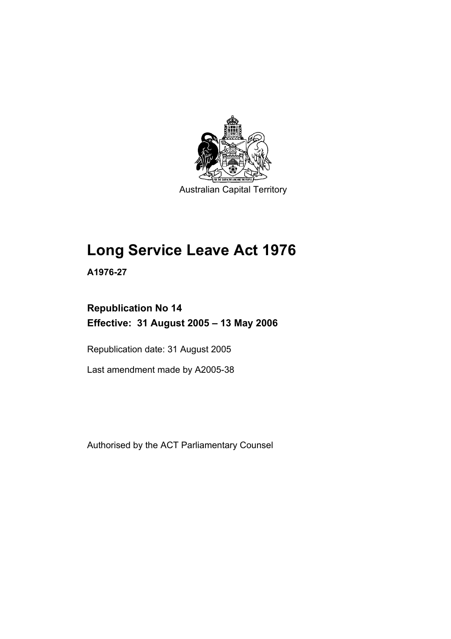

Australian Capital Territory

# **Long Service Leave Act 1976**

**A1976-27** 

### **Republication No 14 Effective: 31 August 2005 – 13 May 2006**

Republication date: 31 August 2005

Last amendment made by A2005-38

Authorised by the ACT Parliamentary Counsel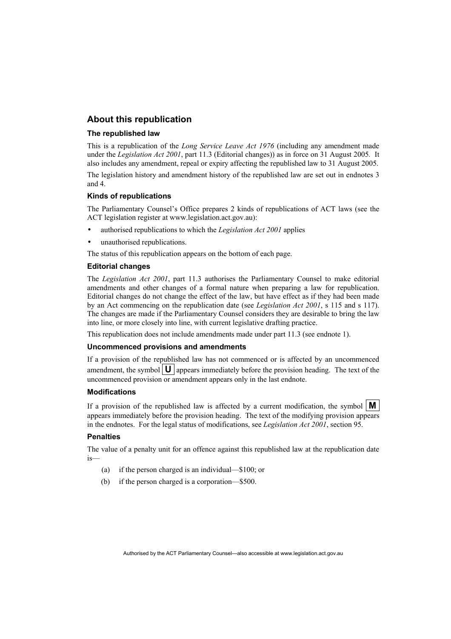### **About this republication**

#### **The republished law**

This is a republication of the *Long Service Leave Act 1976* (including any amendment made under the *Legislation Act 2001*, part 11.3 (Editorial changes)) as in force on 31 August 2005*.* It also includes any amendment, repeal or expiry affecting the republished law to 31 August 2005.

The legislation history and amendment history of the republished law are set out in endnotes 3 and 4.

#### **Kinds of republications**

The Parliamentary Counsel's Office prepares 2 kinds of republications of ACT laws (see the ACT legislation register at www.legislation.act.gov.au):

- authorised republications to which the *Legislation Act 2001* applies
- unauthorised republications.

The status of this republication appears on the bottom of each page.

#### **Editorial changes**

The *Legislation Act 2001*, part 11.3 authorises the Parliamentary Counsel to make editorial amendments and other changes of a formal nature when preparing a law for republication. Editorial changes do not change the effect of the law, but have effect as if they had been made by an Act commencing on the republication date (see *Legislation Act 2001*, s 115 and s 117). The changes are made if the Parliamentary Counsel considers they are desirable to bring the law into line, or more closely into line, with current legislative drafting practice.

This republication does not include amendments made under part 11.3 (see endnote 1).

#### **Uncommenced provisions and amendments**

If a provision of the republished law has not commenced or is affected by an uncommenced amendment, the symbol  $\mathbf{U}$  appears immediately before the provision heading. The text of the uncommenced provision or amendment appears only in the last endnote.

#### **Modifications**

If a provision of the republished law is affected by a current modification, the symbol  $\mathbf{M}$ appears immediately before the provision heading. The text of the modifying provision appears in the endnotes. For the legal status of modifications, see *Legislation Act 2001*, section 95.

#### **Penalties**

The value of a penalty unit for an offence against this republished law at the republication date is—

- (a) if the person charged is an individual—\$100; or
- (b) if the person charged is a corporation—\$500.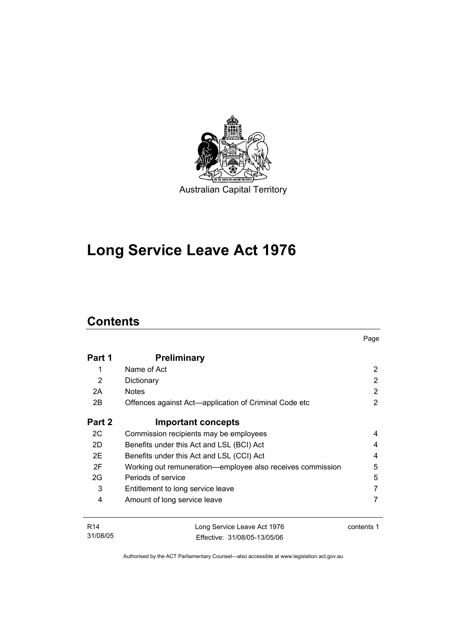

## **Long Service Leave Act 1976**

### **Contents**

31/08/05

| Part 1          | <b>Preliminary</b>                                         |                |
|-----------------|------------------------------------------------------------|----------------|
| 1               | Name of Act                                                | 2              |
| 2               | Dictionary                                                 | 2              |
| 2A              | <b>Notes</b>                                               | 2              |
| 2B              | Offences against Act-application of Criminal Code etc      | $\overline{2}$ |
| Part 2          | <b>Important concepts</b>                                  |                |
| 2C              | Commission recipients may be employees                     | 4              |
| 2D              | Benefits under this Act and LSL (BCI) Act                  | 4              |
| 2E              | Benefits under this Act and LSL (CCI) Act                  | 4              |
| 2F              | Working out remuneration—employee also receives commission | 5              |
| 2G              | Periods of service                                         | 5              |
| 3               | Entitlement to long service leave                          | 7              |
| 4               | Amount of long service leave                               | 7              |
| R <sub>14</sub> | Long Service Leave Act 1976                                | contents 1     |

Page

Authorised by the ACT Parliamentary Counsel—also accessible at www.legislation.act.gov.au

Effective: 31/08/05-13/05/06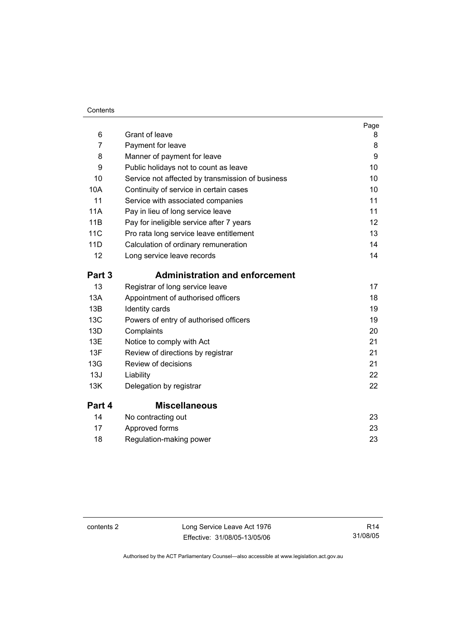#### **Contents**

| 6          | Grant of leave                                   | Page<br>8         |
|------------|--------------------------------------------------|-------------------|
| 7          | Payment for leave                                | 8                 |
| 8          | Manner of payment for leave                      | 9                 |
| 9          | Public holidays not to count as leave            | 10                |
| 10         | Service not affected by transmission of business | 10                |
| 10A        | Continuity of service in certain cases           | 10                |
| 11         | Service with associated companies                | 11                |
| <b>11A</b> | Pay in lieu of long service leave                | 11                |
| 11B        | Pay for ineligible service after 7 years         | $12 \overline{ }$ |
| <b>11C</b> | Pro rata long service leave entitlement          | 13                |
| 11D        | Calculation of ordinary remuneration             | 14                |
| 12         | Long service leave records                       | 14                |
| Part 3     | <b>Administration and enforcement</b>            |                   |
| 13         | Registrar of long service leave                  | 17                |
| 13A        | Appointment of authorised officers               | 18                |
| 13B        | Identity cards                                   | 19                |
| 13C        | Powers of entry of authorised officers           | 19                |
| 13D        | Complaints                                       | 20                |
| 13E        | Notice to comply with Act                        | 21                |
| 13F        | Review of directions by registrar                | 21                |
| 13G        | Review of decisions                              | 21                |
| 13J        | Liability                                        | 22                |
| 13K        | Delegation by registrar                          | 22                |
| Part 4     | <b>Miscellaneous</b>                             |                   |
| 14         | No contracting out                               | 23                |
| 17         | Approved forms                                   | 23                |
| 18         | Regulation-making power                          | 23                |

contents 2 Long Service Leave Act 1976 Effective: 31/08/05-13/05/06

R14 31/08/05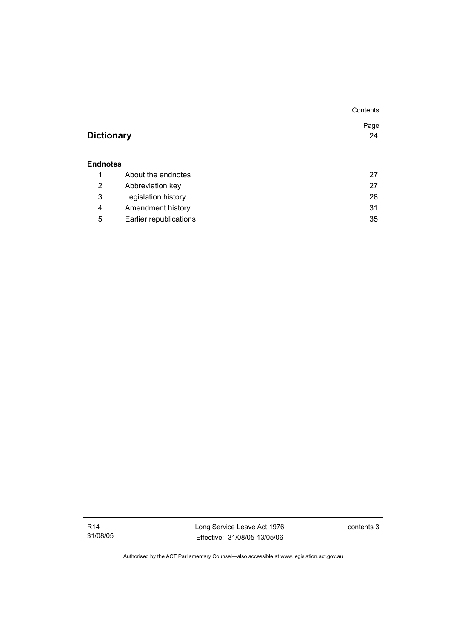|                   |                        | Contents   |
|-------------------|------------------------|------------|
| <b>Dictionary</b> |                        | Page<br>24 |
| <b>Endnotes</b>   |                        |            |
| 1                 | About the endnotes     | 27         |
| 2                 | Abbreviation key       | 27         |
| 3                 | Legislation history    | 28         |
| 4                 | Amendment history      | 31         |
| 5                 | Earlier republications | 35         |

Long Service Leave Act 1976 Effective: 31/08/05-13/05/06

contents 3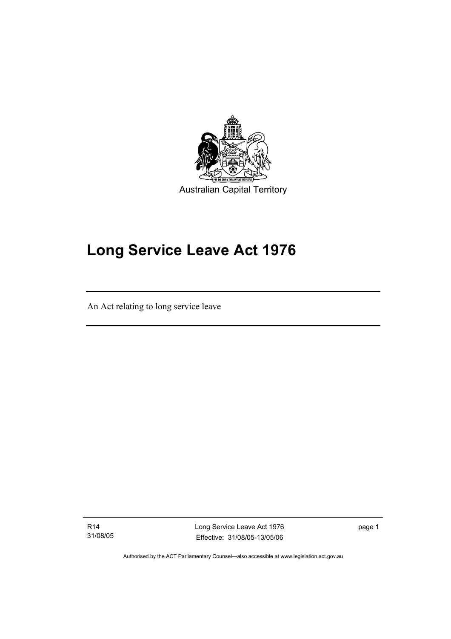

## **Long Service Leave Act 1976**

An Act relating to long service leave

R14 31/08/05

I

Long Service Leave Act 1976 Effective: 31/08/05-13/05/06

page 1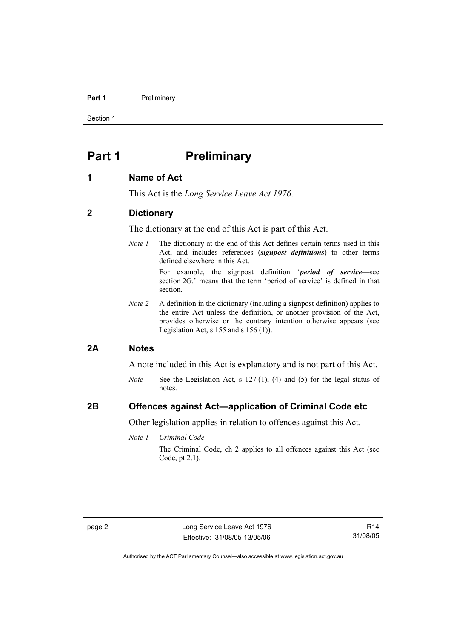#### **Part 1** Preliminary

Section 1

### **Part 1** Preliminary

#### **1 Name of Act**

This Act is the *Long Service Leave Act 1976*.

### **2 Dictionary**

The dictionary at the end of this Act is part of this Act.

*Note 1* The dictionary at the end of this Act defines certain terms used in this Act, and includes references (*signpost definitions*) to other terms defined elsewhere in this Act.

> For example, the signpost definition '*period of service*—see section 2G.' means that the term 'period of service' is defined in that section.

*Note 2* A definition in the dictionary (including a signpost definition) applies to the entire Act unless the definition, or another provision of the Act, provides otherwise or the contrary intention otherwise appears (see Legislation Act, s  $155$  and s  $156$  (1)).

#### **2A Notes**

A note included in this Act is explanatory and is not part of this Act.

*Note* See the Legislation Act, s 127 (1), (4) and (5) for the legal status of notes.

### **2B Offences against Act—application of Criminal Code etc**

Other legislation applies in relation to offences against this Act.

*Note 1 Criminal Code*

The Criminal Code, ch 2 applies to all offences against this Act (see Code, pt 2.1).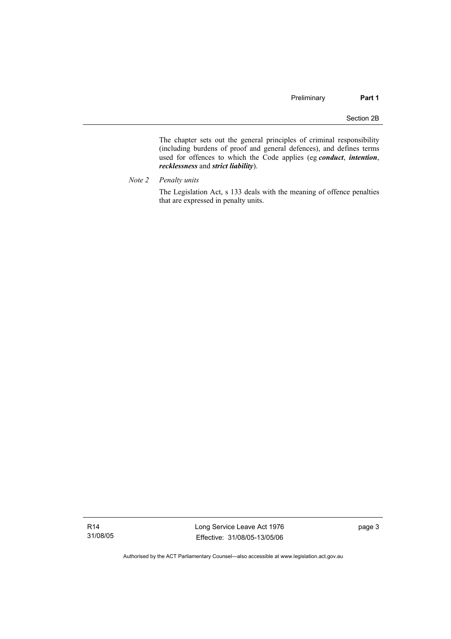The chapter sets out the general principles of criminal responsibility (including burdens of proof and general defences), and defines terms used for offences to which the Code applies (eg *conduct*, *intention*, *recklessness* and *strict liability*).

*Note 2 Penalty units* 

The Legislation Act, s 133 deals with the meaning of offence penalties that are expressed in penalty units.

R14 31/08/05 Long Service Leave Act 1976 Effective: 31/08/05-13/05/06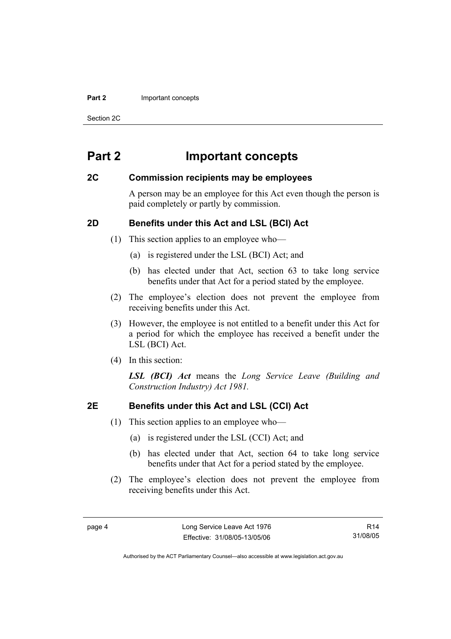#### **Part 2 Important concepts**

Section 2C

### **Part 2 Important concepts**

#### **2C Commission recipients may be employees**

A person may be an employee for this Act even though the person is paid completely or partly by commission.

### **2D Benefits under this Act and LSL (BCI) Act**

- (1) This section applies to an employee who—
	- (a) is registered under the LSL (BCI) Act; and
	- (b) has elected under that Act, section 63 to take long service benefits under that Act for a period stated by the employee.
- (2) The employee's election does not prevent the employee from receiving benefits under this Act.
- (3) However, the employee is not entitled to a benefit under this Act for a period for which the employee has received a benefit under the LSL (BCI) Act.
- (4) In this section:

*LSL (BCI) Act* means the *Long Service Leave (Building and Construction Industry) Act 1981.*

### **2E Benefits under this Act and LSL (CCI) Act**

- (1) This section applies to an employee who—
	- (a) is registered under the LSL (CCI) Act; and
	- (b) has elected under that Act, section 64 to take long service benefits under that Act for a period stated by the employee.
- (2) The employee's election does not prevent the employee from receiving benefits under this Act.

R14 31/08/05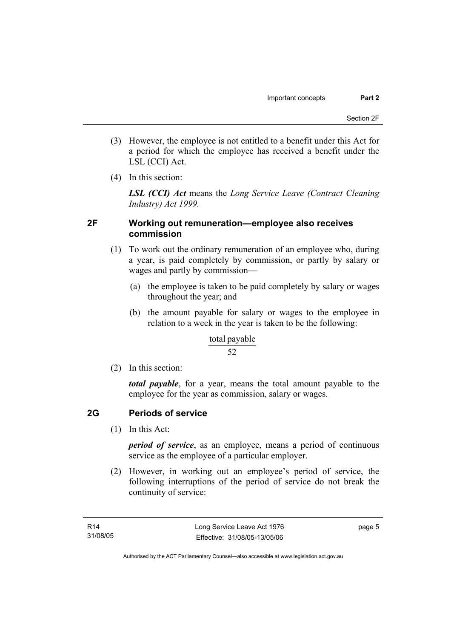- (3) However, the employee is not entitled to a benefit under this Act for a period for which the employee has received a benefit under the LSL (CCI) Act.
- (4) In this section:

*LSL (CCI) Act* means the *Long Service Leave (Contract Cleaning Industry) Act 1999.*

### **2F Working out remuneration—employee also receives commission**

- (1) To work out the ordinary remuneration of an employee who, during a year, is paid completely by commission, or partly by salary or wages and partly by commission—
	- (a) the employee is taken to be paid completely by salary or wages throughout the year; and
	- (b) the amount payable for salary or wages to the employee in relation to a week in the year is taken to be the following:

#### total payable

#### 52

(2) In this section:

*total payable*, for a year, means the total amount payable to the employee for the year as commission, salary or wages.

### **2G Periods of service**

(1) In this Act:

*period of service*, as an employee, means a period of continuous service as the employee of a particular employer.

 (2) However, in working out an employee's period of service, the following interruptions of the period of service do not break the continuity of service: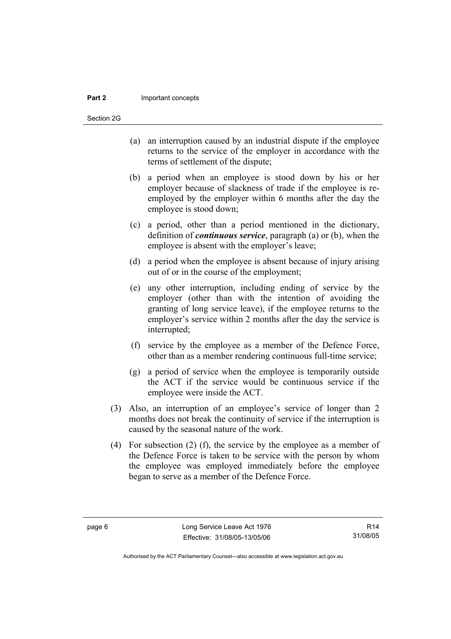#### **Part 2** Important concepts

Section 2G

- (a) an interruption caused by an industrial dispute if the employee returns to the service of the employer in accordance with the terms of settlement of the dispute;
- (b) a period when an employee is stood down by his or her employer because of slackness of trade if the employee is reemployed by the employer within 6 months after the day the employee is stood down;
- (c) a period, other than a period mentioned in the dictionary, definition of *continuous service*, paragraph (a) or (b), when the employee is absent with the employer's leave;
- (d) a period when the employee is absent because of injury arising out of or in the course of the employment;
- (e) any other interruption, including ending of service by the employer (other than with the intention of avoiding the granting of long service leave), if the employee returns to the employer's service within 2 months after the day the service is interrupted;
- (f) service by the employee as a member of the Defence Force, other than as a member rendering continuous full-time service;
- (g) a period of service when the employee is temporarily outside the ACT if the service would be continuous service if the employee were inside the ACT.
- (3) Also, an interruption of an employee's service of longer than 2 months does not break the continuity of service if the interruption is caused by the seasonal nature of the work.
- (4) For subsection (2) (f), the service by the employee as a member of the Defence Force is taken to be service with the person by whom the employee was employed immediately before the employee began to serve as a member of the Defence Force.

R14 31/08/05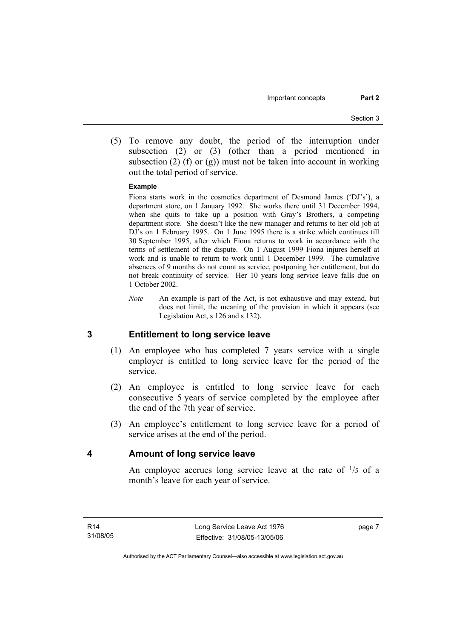(5) To remove any doubt, the period of the interruption under subsection (2) or (3) (other than a period mentioned in subsection (2) (f) or (g)) must not be taken into account in working out the total period of service.

#### **Example**

Fiona starts work in the cosmetics department of Desmond James ('DJ's'), a department store, on 1 January 1992. She works there until 31 December 1994, when she quits to take up a position with Gray's Brothers, a competing department store. She doesn't like the new manager and returns to her old job at DJ's on 1 February 1995. On 1 June 1995 there is a strike which continues till 30 September 1995, after which Fiona returns to work in accordance with the terms of settlement of the dispute. On 1 August 1999 Fiona injures herself at work and is unable to return to work until 1 December 1999. The cumulative absences of 9 months do not count as service, postponing her entitlement, but do not break continuity of service. Her 10 years long service leave falls due on 1 October 2002.

*Note* An example is part of the Act, is not exhaustive and may extend, but does not limit, the meaning of the provision in which it appears (see Legislation Act, s 126 and s 132).

#### **3 Entitlement to long service leave**

- (1) An employee who has completed 7 years service with a single employer is entitled to long service leave for the period of the service.
- (2) An employee is entitled to long service leave for each consecutive 5 years of service completed by the employee after the end of the 7th year of service.
- (3) An employee's entitlement to long service leave for a period of service arises at the end of the period.

#### **4 Amount of long service leave**

An employee accrues long service leave at the rate of  $\frac{1}{5}$  of a month's leave for each year of service.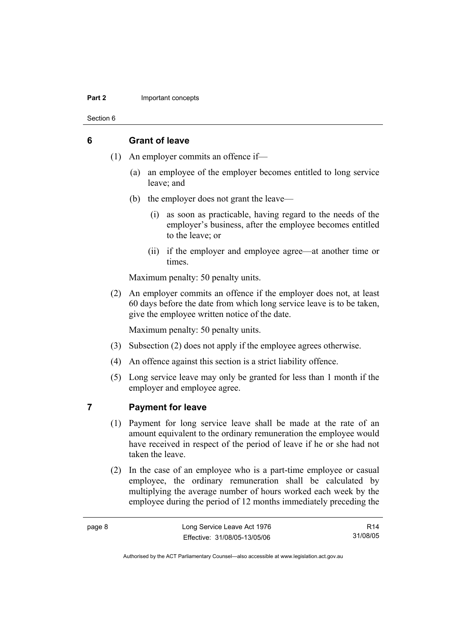#### **Part 2 Important concepts**

Section 6

### **6 Grant of leave**

- (1) An employer commits an offence if—
	- (a) an employee of the employer becomes entitled to long service leave; and
	- (b) the employer does not grant the leave—
		- (i) as soon as practicable, having regard to the needs of the employer's business, after the employee becomes entitled to the leave; or
		- (ii) if the employer and employee agree—at another time or times.

Maximum penalty: 50 penalty units.

 (2) An employer commits an offence if the employer does not, at least 60 days before the date from which long service leave is to be taken, give the employee written notice of the date.

Maximum penalty: 50 penalty units.

- (3) Subsection (2) does not apply if the employee agrees otherwise.
- (4) An offence against this section is a strict liability offence.
- (5) Long service leave may only be granted for less than 1 month if the employer and employee agree.

#### **7 Payment for leave**

- (1) Payment for long service leave shall be made at the rate of an amount equivalent to the ordinary remuneration the employee would have received in respect of the period of leave if he or she had not taken the leave.
- (2) In the case of an employee who is a part-time employee or casual employee, the ordinary remuneration shall be calculated by multiplying the average number of hours worked each week by the employee during the period of 12 months immediately preceding the

R14 31/08/05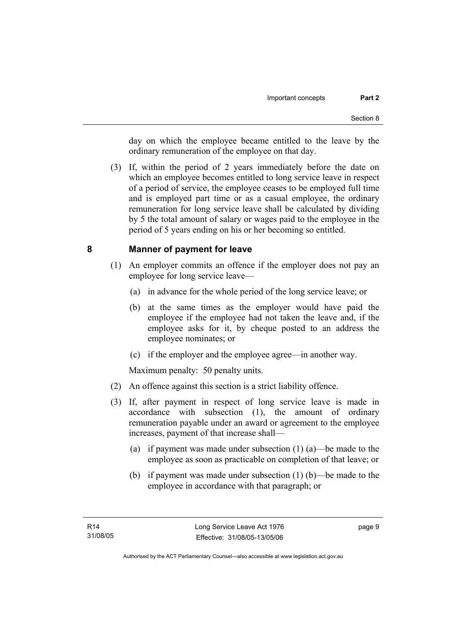day on which the employee became entitled to the leave by the ordinary remuneration of the employee on that day.

 (3) If, within the period of 2 years immediately before the date on which an employee becomes entitled to long service leave in respect of a period of service, the employee ceases to be employed full time and is employed part time or as a casual employee, the ordinary remuneration for long service leave shall be calculated by dividing by 5 the total amount of salary or wages paid to the employee in the period of 5 years ending on his or her becoming so entitled.

### **8 Manner of payment for leave**

- (1) An employer commits an offence if the employer does not pay an employee for long service leave—
	- (a) in advance for the whole period of the long service leave; or
	- (b) at the same times as the employer would have paid the employee if the employee had not taken the leave and, if the employee asks for it, by cheque posted to an address the employee nominates; or
	- (c) if the employer and the employee agree—in another way.

Maximum penalty: 50 penalty units.

- (2) An offence against this section is a strict liability offence.
- (3) If, after payment in respect of long service leave is made in accordance with subsection (1), the amount of ordinary remuneration payable under an award or agreement to the employee increases, payment of that increase shall—
	- (a) if payment was made under subsection (1) (a)—be made to the employee as soon as practicable on completion of that leave; or
	- (b) if payment was made under subsection (1) (b)—be made to the employee in accordance with that paragraph; or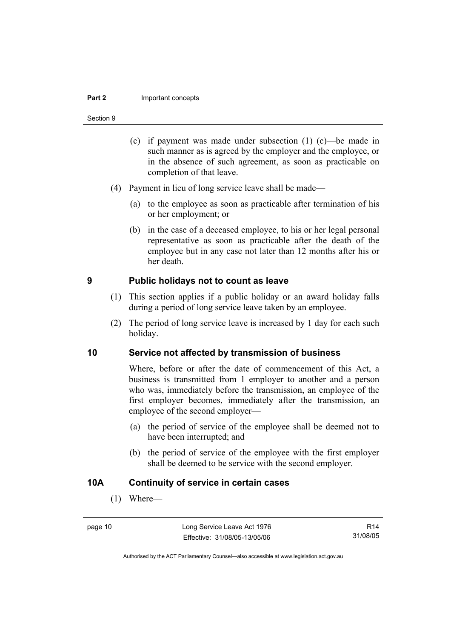#### **Part 2** Important concepts

#### Section 9

- (c) if payment was made under subsection (1) (c)—be made in such manner as is agreed by the employer and the employee, or in the absence of such agreement, as soon as practicable on completion of that leave.
- (4) Payment in lieu of long service leave shall be made—
	- (a) to the employee as soon as practicable after termination of his or her employment; or
	- (b) in the case of a deceased employee, to his or her legal personal representative as soon as practicable after the death of the employee but in any case not later than 12 months after his or her death.

#### **9 Public holidays not to count as leave**

- (1) This section applies if a public holiday or an award holiday falls during a period of long service leave taken by an employee.
- (2) The period of long service leave is increased by 1 day for each such holiday.

### **10 Service not affected by transmission of business**

Where, before or after the date of commencement of this Act, a business is transmitted from 1 employer to another and a person who was, immediately before the transmission, an employee of the first employer becomes, immediately after the transmission, an employee of the second employer—

- (a) the period of service of the employee shall be deemed not to have been interrupted; and
- (b) the period of service of the employee with the first employer shall be deemed to be service with the second employer.

#### **10A Continuity of service in certain cases**

(1) Where—

R14 31/08/05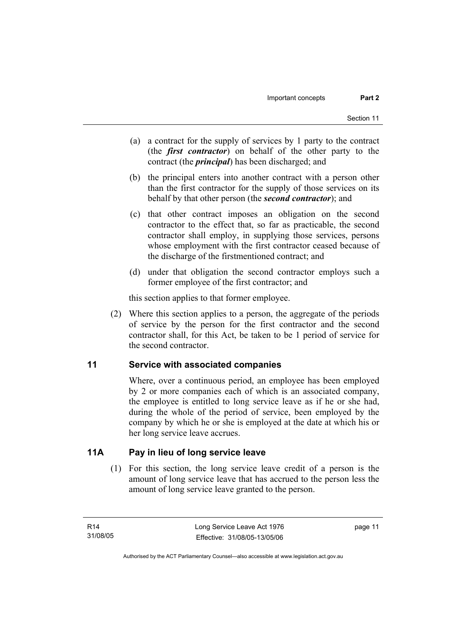- (a) a contract for the supply of services by 1 party to the contract (the *first contractor*) on behalf of the other party to the contract (the *principal*) has been discharged; and
- (b) the principal enters into another contract with a person other than the first contractor for the supply of those services on its behalf by that other person (the *second contractor*); and
- (c) that other contract imposes an obligation on the second contractor to the effect that, so far as practicable, the second contractor shall employ, in supplying those services, persons whose employment with the first contractor ceased because of the discharge of the firstmentioned contract; and
- (d) under that obligation the second contractor employs such a former employee of the first contractor; and

this section applies to that former employee.

 (2) Where this section applies to a person, the aggregate of the periods of service by the person for the first contractor and the second contractor shall, for this Act, be taken to be 1 period of service for the second contractor.

### **11 Service with associated companies**

Where, over a continuous period, an employee has been employed by 2 or more companies each of which is an associated company, the employee is entitled to long service leave as if he or she had, during the whole of the period of service, been employed by the company by which he or she is employed at the date at which his or her long service leave accrues.

### **11A Pay in lieu of long service leave**

 (1) For this section, the long service leave credit of a person is the amount of long service leave that has accrued to the person less the amount of long service leave granted to the person.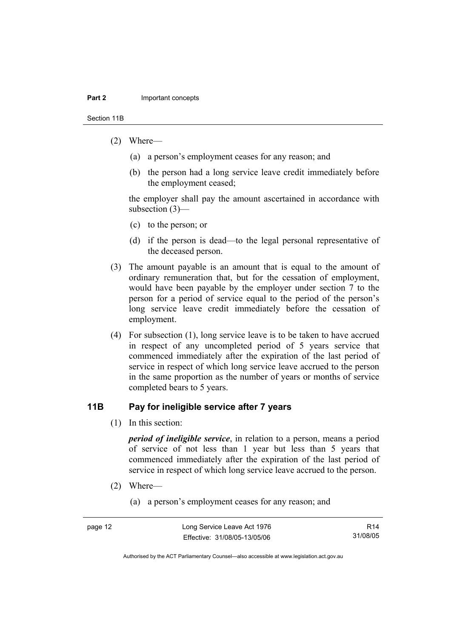Section 11B

- (2) Where—
	- (a) a person's employment ceases for any reason; and
	- (b) the person had a long service leave credit immediately before the employment ceased;

the employer shall pay the amount ascertained in accordance with subsection (3)—

- (c) to the person; or
- (d) if the person is dead—to the legal personal representative of the deceased person.
- (3) The amount payable is an amount that is equal to the amount of ordinary remuneration that, but for the cessation of employment, would have been payable by the employer under section 7 to the person for a period of service equal to the period of the person's long service leave credit immediately before the cessation of employment.
- (4) For subsection (1), long service leave is to be taken to have accrued in respect of any uncompleted period of 5 years service that commenced immediately after the expiration of the last period of service in respect of which long service leave accrued to the person in the same proportion as the number of years or months of service completed bears to 5 years.

### **11B Pay for ineligible service after 7 years**

(1) In this section:

*period of ineligible service*, in relation to a person, means a period of service of not less than 1 year but less than 5 years that commenced immediately after the expiration of the last period of service in respect of which long service leave accrued to the person.

- (2) Where—
	- (a) a person's employment ceases for any reason; and

| page 12 | Long Service Leave Act 1976  | R14      |
|---------|------------------------------|----------|
|         | Effective: 31/08/05-13/05/06 | 31/08/05 |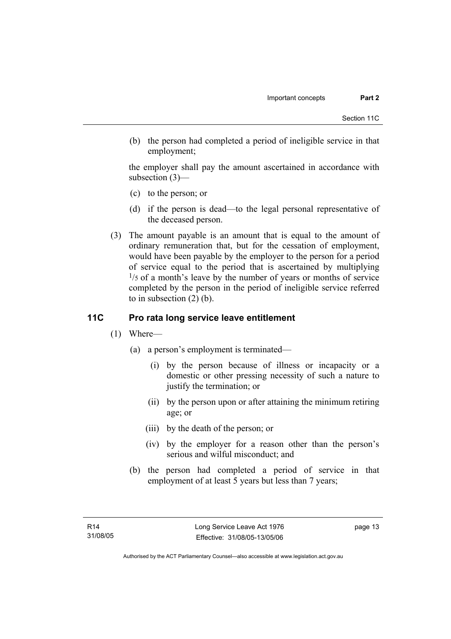(b) the person had completed a period of ineligible service in that employment;

the employer shall pay the amount ascertained in accordance with subsection (3)—

- (c) to the person; or
- (d) if the person is dead—to the legal personal representative of the deceased person.
- (3) The amount payable is an amount that is equal to the amount of ordinary remuneration that, but for the cessation of employment, would have been payable by the employer to the person for a period of service equal to the period that is ascertained by multiplying  $1/5$  of a month's leave by the number of years or months of service completed by the person in the period of ineligible service referred to in subsection (2) (b).

### **11C Pro rata long service leave entitlement**

- (1) Where—
	- (a) a person's employment is terminated—
		- (i) by the person because of illness or incapacity or a domestic or other pressing necessity of such a nature to justify the termination; or
		- (ii) by the person upon or after attaining the minimum retiring age; or
		- (iii) by the death of the person; or
		- (iv) by the employer for a reason other than the person's serious and wilful misconduct; and
	- (b) the person had completed a period of service in that employment of at least 5 years but less than 7 years;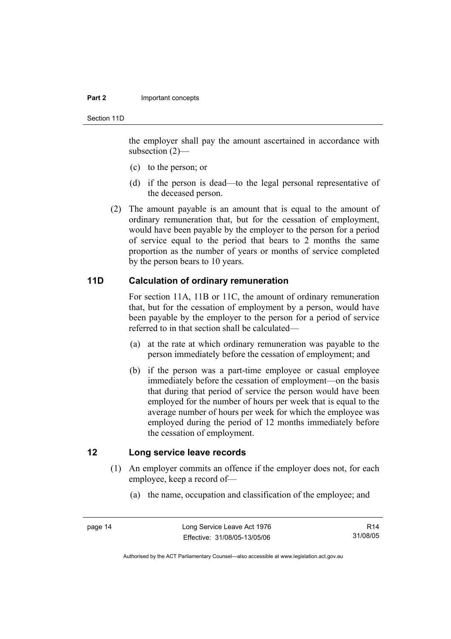#### **Part 2 Important concepts**

Section 11D

the employer shall pay the amount ascertained in accordance with subsection (2)—

- (c) to the person; or
- (d) if the person is dead—to the legal personal representative of the deceased person.
- (2) The amount payable is an amount that is equal to the amount of ordinary remuneration that, but for the cessation of employment, would have been payable by the employer to the person for a period of service equal to the period that bears to 2 months the same proportion as the number of years or months of service completed by the person bears to 10 years.

### **11D Calculation of ordinary remuneration**

For section 11A, 11B or 11C, the amount of ordinary remuneration that, but for the cessation of employment by a person, would have been payable by the employer to the person for a period of service referred to in that section shall be calculated—

- (a) at the rate at which ordinary remuneration was payable to the person immediately before the cessation of employment; and
- (b) if the person was a part-time employee or casual employee immediately before the cessation of employment—on the basis that during that period of service the person would have been employed for the number of hours per week that is equal to the average number of hours per week for which the employee was employed during the period of 12 months immediately before the cessation of employment.

### **12 Long service leave records**

- (1) An employer commits an offence if the employer does not, for each employee, keep a record of—
	- (a) the name, occupation and classification of the employee; and

R14 31/08/05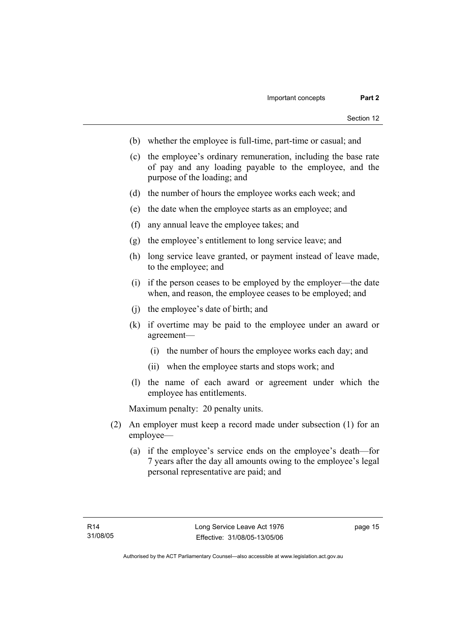- (b) whether the employee is full-time, part-time or casual; and
- (c) the employee's ordinary remuneration, including the base rate of pay and any loading payable to the employee, and the purpose of the loading; and
- (d) the number of hours the employee works each week; and
- (e) the date when the employee starts as an employee; and
- (f) any annual leave the employee takes; and
- (g) the employee's entitlement to long service leave; and
- (h) long service leave granted, or payment instead of leave made, to the employee; and
- (i) if the person ceases to be employed by the employer—the date when, and reason, the employee ceases to be employed; and
- (j) the employee's date of birth; and
- (k) if overtime may be paid to the employee under an award or agreement—
	- (i) the number of hours the employee works each day; and
	- (ii) when the employee starts and stops work; and
- (l) the name of each award or agreement under which the employee has entitlements.

Maximum penalty: 20 penalty units.

- (2) An employer must keep a record made under subsection (1) for an employee—
	- (a) if the employee's service ends on the employee's death—for 7 years after the day all amounts owing to the employee's legal personal representative are paid; and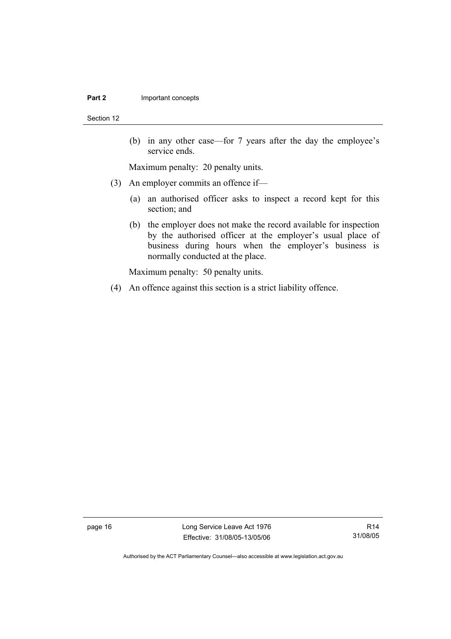#### **Part 2 Important concepts**

Section 12

 (b) in any other case—for 7 years after the day the employee's service ends.

Maximum penalty: 20 penalty units.

- (3) An employer commits an offence if—
	- (a) an authorised officer asks to inspect a record kept for this section; and
	- (b) the employer does not make the record available for inspection by the authorised officer at the employer's usual place of business during hours when the employer's business is normally conducted at the place.

Maximum penalty: 50 penalty units.

(4) An offence against this section is a strict liability offence.

page 16 Long Service Leave Act 1976 Effective: 31/08/05-13/05/06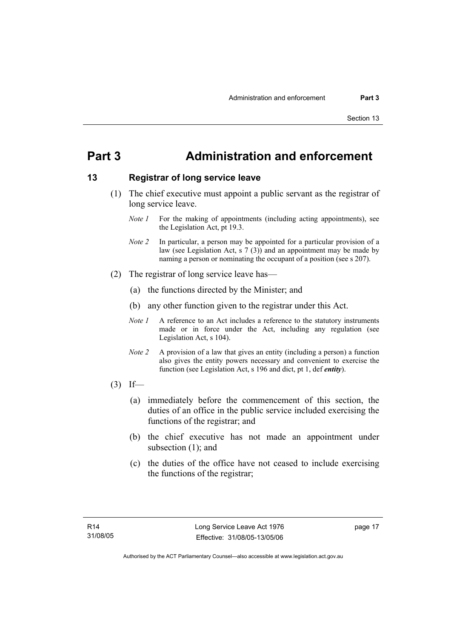### **Part 3 Administration and enforcement**

### **13 Registrar of long service leave**

- (1) The chief executive must appoint a public servant as the registrar of long service leave.
	- *Note 1* For the making of appointments (including acting appointments), see the Legislation Act, pt 19.3.
	- *Note 2* In particular, a person may be appointed for a particular provision of a law (see Legislation Act, s 7 (3)) and an appointment may be made by naming a person or nominating the occupant of a position (see s 207).
- (2) The registrar of long service leave has—
	- (a) the functions directed by the Minister; and
	- (b) any other function given to the registrar under this Act.
	- *Note 1* A reference to an Act includes a reference to the statutory instruments made or in force under the Act, including any regulation (see Legislation Act, s 104).
	- *Note 2* A provision of a law that gives an entity (including a person) a function also gives the entity powers necessary and convenient to exercise the function (see Legislation Act, s 196 and dict, pt 1, def *entity*).
- $(3)$  If—
	- (a) immediately before the commencement of this section, the duties of an office in the public service included exercising the functions of the registrar; and
	- (b) the chief executive has not made an appointment under subsection (1); and
	- (c) the duties of the office have not ceased to include exercising the functions of the registrar;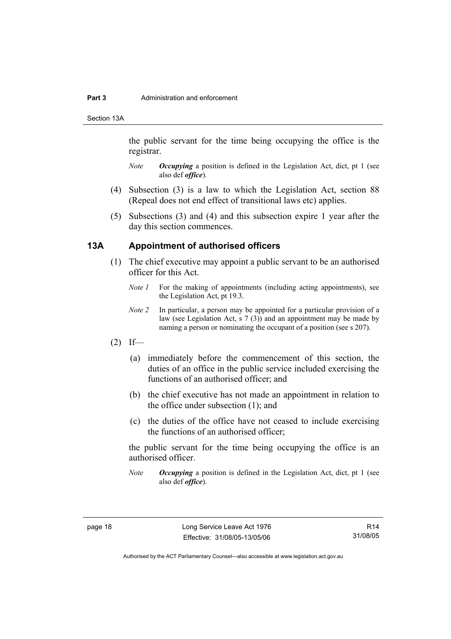#### **Part 3** Administration and enforcement

Section 13A

the public servant for the time being occupying the office is the registrar.

- *Note Occupying* a position is defined in the Legislation Act, dict, pt 1 (see also def *office*).
- (4) Subsection (3) is a law to which the Legislation Act, section 88 (Repeal does not end effect of transitional laws etc) applies.
- (5) Subsections (3) and (4) and this subsection expire 1 year after the day this section commences.

#### **13A Appointment of authorised officers**

- (1) The chief executive may appoint a public servant to be an authorised officer for this Act.
	- *Note 1* For the making of appointments (including acting appointments), see the Legislation Act, pt 19.3.
	- *Note 2* In particular, a person may be appointed for a particular provision of a law (see Legislation Act, s 7 (3)) and an appointment may be made by naming a person or nominating the occupant of a position (see s 207).
- $(2)$  If—
	- (a) immediately before the commencement of this section, the duties of an office in the public service included exercising the functions of an authorised officer; and
	- (b) the chief executive has not made an appointment in relation to the office under subsection (1); and
	- (c) the duties of the office have not ceased to include exercising the functions of an authorised officer;

the public servant for the time being occupying the office is an authorised officer.

*Note Occupying* a position is defined in the Legislation Act, dict, pt 1 (see also def *office*).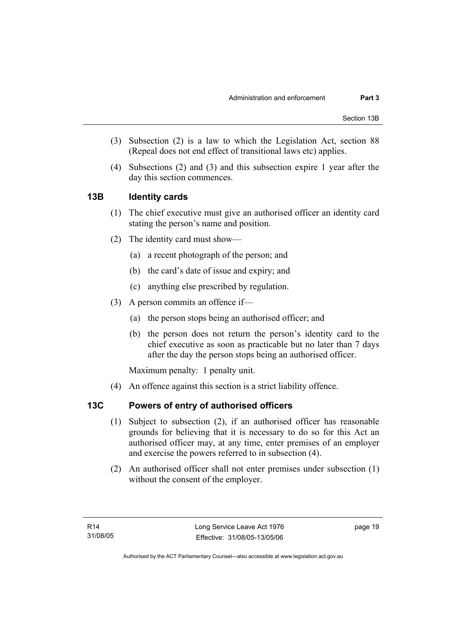- (3) Subsection (2) is a law to which the Legislation Act, section 88 (Repeal does not end effect of transitional laws etc) applies.
- (4) Subsections (2) and (3) and this subsection expire 1 year after the day this section commences.

### **13B Identity cards**

- (1) The chief executive must give an authorised officer an identity card stating the person's name and position.
- (2) The identity card must show—
	- (a) a recent photograph of the person; and
	- (b) the card's date of issue and expiry; and
	- (c) anything else prescribed by regulation.
- (3) A person commits an offence if—
	- (a) the person stops being an authorised officer; and
	- (b) the person does not return the person's identity card to the chief executive as soon as practicable but no later than 7 days after the day the person stops being an authorised officer.

Maximum penalty: 1 penalty unit.

(4) An offence against this section is a strict liability offence.

### **13C Powers of entry of authorised officers**

- (1) Subject to subsection (2), if an authorised officer has reasonable grounds for believing that it is necessary to do so for this Act an authorised officer may, at any time, enter premises of an employer and exercise the powers referred to in subsection (4).
- (2) An authorised officer shall not enter premises under subsection (1) without the consent of the employer.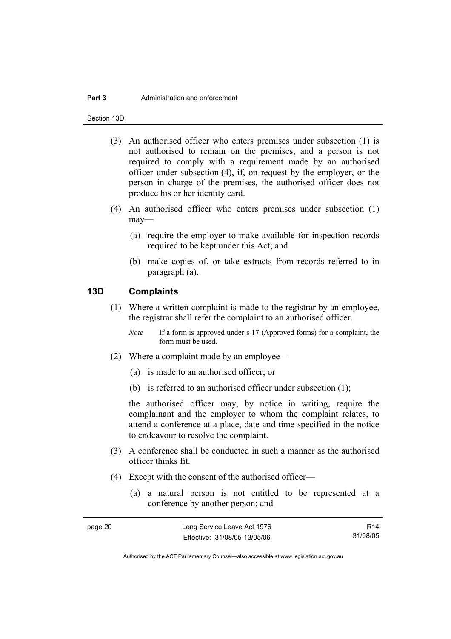#### **Part 3** Administration and enforcement

Section 13D

- (3) An authorised officer who enters premises under subsection (1) is not authorised to remain on the premises, and a person is not required to comply with a requirement made by an authorised officer under subsection (4), if, on request by the employer, or the person in charge of the premises, the authorised officer does not produce his or her identity card.
- (4) An authorised officer who enters premises under subsection (1) may—
	- (a) require the employer to make available for inspection records required to be kept under this Act; and
	- (b) make copies of, or take extracts from records referred to in paragraph (a).

#### **13D Complaints**

- (1) Where a written complaint is made to the registrar by an employee, the registrar shall refer the complaint to an authorised officer.
	- *Note* If a form is approved under s 17 (Approved forms) for a complaint, the form must be used.
- (2) Where a complaint made by an employee—
	- (a) is made to an authorised officer; or
	- (b) is referred to an authorised officer under subsection (1);

the authorised officer may, by notice in writing, require the complainant and the employer to whom the complaint relates, to attend a conference at a place, date and time specified in the notice to endeavour to resolve the complaint.

- (3) A conference shall be conducted in such a manner as the authorised officer thinks fit.
- (4) Except with the consent of the authorised officer—
	- (a) a natural person is not entitled to be represented at a conference by another person; and

| page 20 | Long Service Leave Act 1976  | R14      |
|---------|------------------------------|----------|
|         | Effective: 31/08/05-13/05/06 | 31/08/05 |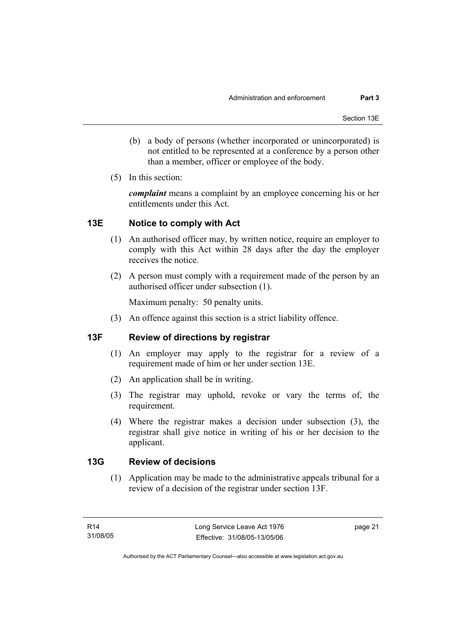- (b) a body of persons (whether incorporated or unincorporated) is not entitled to be represented at a conference by a person other than a member, officer or employee of the body.
- (5) In this section:

*complaint* means a complaint by an employee concerning his or her entitlements under this Act.

### **13E Notice to comply with Act**

- (1) An authorised officer may, by written notice, require an employer to comply with this Act within 28 days after the day the employer receives the notice.
- (2) A person must comply with a requirement made of the person by an authorised officer under subsection (1).

Maximum penalty: 50 penalty units.

(3) An offence against this section is a strict liability offence.

### **13F Review of directions by registrar**

- (1) An employer may apply to the registrar for a review of a requirement made of him or her under section 13E.
- (2) An application shall be in writing.
- (3) The registrar may uphold, revoke or vary the terms of, the requirement.
- (4) Where the registrar makes a decision under subsection (3), the registrar shall give notice in writing of his or her decision to the applicant.

### **13G Review of decisions**

 (1) Application may be made to the administrative appeals tribunal for a review of a decision of the registrar under section 13F.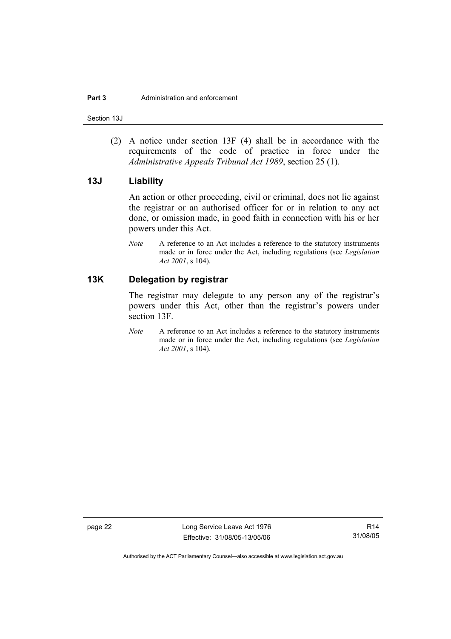Section 13J

 (2) A notice under section 13F (4) shall be in accordance with the requirements of the code of practice in force under the *Administrative Appeals Tribunal Act 1989*, section 25 (1).

#### **13J Liability**

An action or other proceeding, civil or criminal, does not lie against the registrar or an authorised officer for or in relation to any act done, or omission made, in good faith in connection with his or her powers under this Act.

*Note* A reference to an Act includes a reference to the statutory instruments made or in force under the Act, including regulations (see *Legislation Act 2001*, s 104).

### **13K Delegation by registrar**

The registrar may delegate to any person any of the registrar's powers under this Act, other than the registrar's powers under section 13F.

*Note* A reference to an Act includes a reference to the statutory instruments made or in force under the Act, including regulations (see *Legislation Act 2001*, s 104).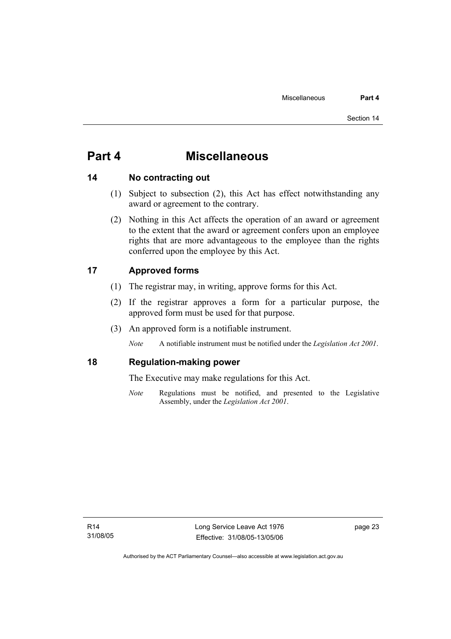### **Part 4 Miscellaneous**

### **14 No contracting out**

- (1) Subject to subsection (2), this Act has effect notwithstanding any award or agreement to the contrary.
- (2) Nothing in this Act affects the operation of an award or agreement to the extent that the award or agreement confers upon an employee rights that are more advantageous to the employee than the rights conferred upon the employee by this Act.

### **17 Approved forms**

- (1) The registrar may, in writing, approve forms for this Act.
- (2) If the registrar approves a form for a particular purpose, the approved form must be used for that purpose.
- (3) An approved form is a notifiable instrument.

*Note* A notifiable instrument must be notified under the *Legislation Act 2001*.

### **18 Regulation-making power**

The Executive may make regulations for this Act.

*Note* Regulations must be notified, and presented to the Legislative Assembly, under the *Legislation Act 2001*.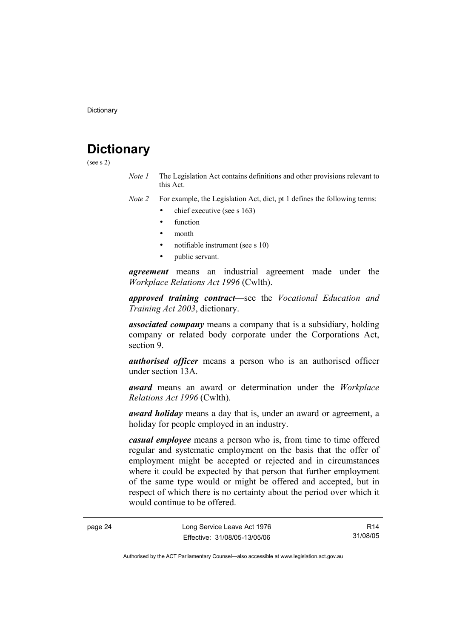## **Dictionary**

(see s 2)

*Note 1* The Legislation Act contains definitions and other provisions relevant to this Act.

*Note 2* For example, the Legislation Act, dict, pt 1 defines the following terms:

- chief executive (see s 163)
	- **function**
	- month
	- notifiable instrument (see s 10)
	- public servant.

*agreement* means an industrial agreement made under the *Workplace Relations Act 1996* (Cwlth).

*approved training contract—*see the *Vocational Education and Training Act 2003*, dictionary.

*associated company* means a company that is a subsidiary, holding company or related body corporate under the Corporations Act, section 9.

*authorised officer* means a person who is an authorised officer under section 13A.

*award* means an award or determination under the *Workplace Relations Act 1996* (Cwlth).

*award holiday* means a day that is, under an award or agreement, a holiday for people employed in an industry.

*casual employee* means a person who is, from time to time offered regular and systematic employment on the basis that the offer of employment might be accepted or rejected and in circumstances where it could be expected by that person that further employment of the same type would or might be offered and accepted, but in respect of which there is no certainty about the period over which it would continue to be offered.

page 24 Long Service Leave Act 1976 Effective: 31/08/05-13/05/06

R14 31/08/05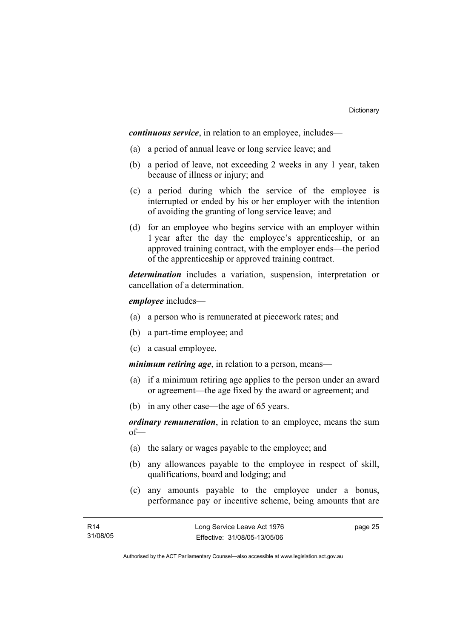*continuous service*, in relation to an employee, includes—

- (a) a period of annual leave or long service leave; and
- (b) a period of leave, not exceeding 2 weeks in any 1 year, taken because of illness or injury; and
- (c) a period during which the service of the employee is interrupted or ended by his or her employer with the intention of avoiding the granting of long service leave; and
- (d) for an employee who begins service with an employer within 1 year after the day the employee's apprenticeship, or an approved training contract, with the employer ends—the period of the apprenticeship or approved training contract.

*determination* includes a variation, suspension, interpretation or cancellation of a determination.

*employee* includes—

- (a) a person who is remunerated at piecework rates; and
- (b) a part-time employee; and
- (c) a casual employee.

*minimum retiring age*, in relation to a person, means—

- (a) if a minimum retiring age applies to the person under an award or agreement—the age fixed by the award or agreement; and
- (b) in any other case—the age of 65 years.

*ordinary remuneration*, in relation to an employee, means the sum of—

- (a) the salary or wages payable to the employee; and
- (b) any allowances payable to the employee in respect of skill, qualifications, board and lodging; and
- (c) any amounts payable to the employee under a bonus, performance pay or incentive scheme, being amounts that are

page 25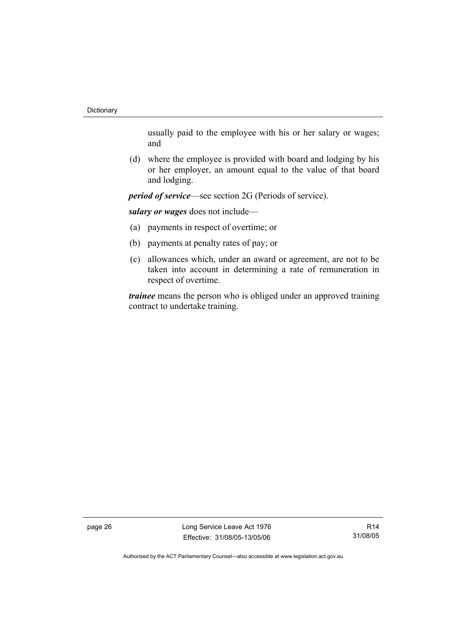usually paid to the employee with his or her salary or wages; and

 (d) where the employee is provided with board and lodging by his or her employer, an amount equal to the value of that board and lodging.

*period of service*—see section 2G (Periods of service).

*salary or wages* does not include—

- (a) payments in respect of overtime; or
- (b) payments at penalty rates of pay; or
- (c) allowances which, under an award or agreement, are not to be taken into account in determining a rate of remuneration in respect of overtime.

*trainee* means the person who is obliged under an approved training contract to undertake training.

page 26 Long Service Leave Act 1976 Effective: 31/08/05-13/05/06

R14 31/08/05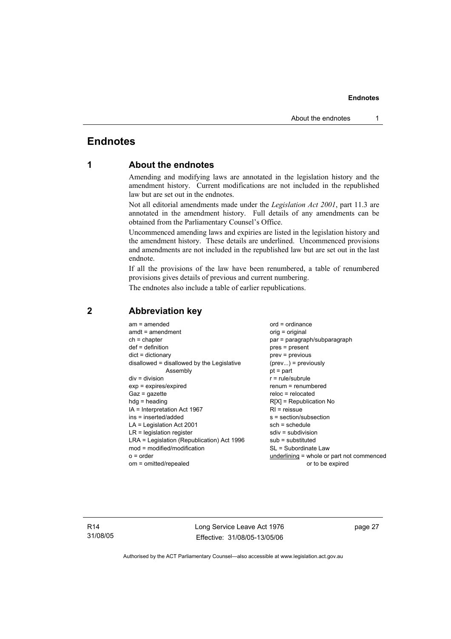### **Endnotes**

### **1 About the endnotes**

Amending and modifying laws are annotated in the legislation history and the amendment history. Current modifications are not included in the republished law but are set out in the endnotes.

Not all editorial amendments made under the *Legislation Act 2001*, part 11.3 are annotated in the amendment history. Full details of any amendments can be obtained from the Parliamentary Counsel's Office.

Uncommenced amending laws and expiries are listed in the legislation history and the amendment history. These details are underlined. Uncommenced provisions and amendments are not included in the republished law but are set out in the last endnote.

If all the provisions of the law have been renumbered, a table of renumbered provisions gives details of previous and current numbering.

The endnotes also include a table of earlier republications.

| $am = amended$<br>$amdt = amendment$<br>$ch = chapter$<br>$def = definition$<br>$dict = dictionary$<br>disallowed = disallowed by the Legislative<br>Assembly<br>$div = division$<br>$exp = expires/expired$<br>$Gaz = gazette$<br>$hdg =$ heading<br>IA = Interpretation Act 1967<br>ins = inserted/added<br>$LA =$ Legislation Act 2001<br>$LR =$ legislation register<br>LRA = Legislation (Republication) Act 1996<br>$mod = modified/modification$<br>$o = order$ | $ord = ordinance$<br>$orig = original$<br>par = paragraph/subparagraph<br>$pres = present$<br>$prev = previous$<br>$(\text{prev}) = \text{previously}$<br>$pt = part$<br>$r = rule/subrule$<br>$renum = renumbered$<br>$reloc = relocated$<br>$R[X]$ = Republication No<br>$RI = reissue$<br>s = section/subsection<br>$sch = schedule$<br>$sdiv = subdivision$<br>$sub =$ substituted<br>SL = Subordinate Law |
|------------------------------------------------------------------------------------------------------------------------------------------------------------------------------------------------------------------------------------------------------------------------------------------------------------------------------------------------------------------------------------------------------------------------------------------------------------------------|----------------------------------------------------------------------------------------------------------------------------------------------------------------------------------------------------------------------------------------------------------------------------------------------------------------------------------------------------------------------------------------------------------------|
| om = omitted/repealed                                                                                                                                                                                                                                                                                                                                                                                                                                                  | underlining = whole or part not commenced<br>or to be expired                                                                                                                                                                                                                                                                                                                                                  |
|                                                                                                                                                                                                                                                                                                                                                                                                                                                                        |                                                                                                                                                                                                                                                                                                                                                                                                                |

#### **2 Abbreviation key**

R14 31/08/05 Long Service Leave Act 1976 Effective: 31/08/05-13/05/06 page 27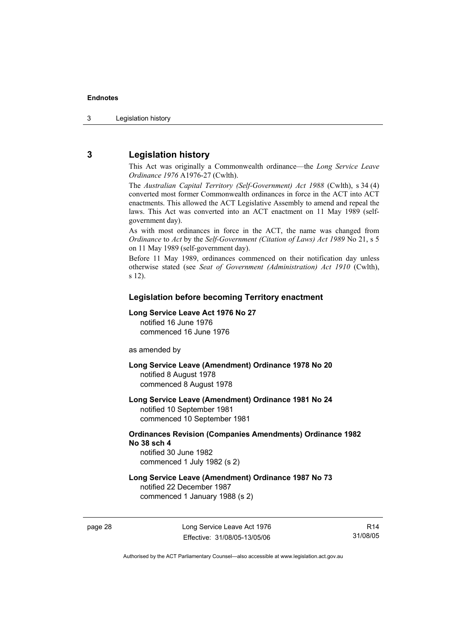### **3 Legislation history**

This Act was originally a Commonwealth ordinance—the *Long Service Leave Ordinance 1976* A1976-27 (Cwlth).

The *Australian Capital Territory (Self-Government) Act 1988* (Cwlth), s 34 (4) converted most former Commonwealth ordinances in force in the ACT into ACT enactments. This allowed the ACT Legislative Assembly to amend and repeal the laws. This Act was converted into an ACT enactment on 11 May 1989 (selfgovernment day).

As with most ordinances in force in the ACT, the name was changed from *Ordinance* to *Act* by the *Self-Government (Citation of Laws) Act 1989* No 21, s 5 on 11 May 1989 (self-government day).

Before 11 May 1989, ordinances commenced on their notification day unless otherwise stated (see *Seat of Government (Administration) Act 1910* (Cwlth), s 12).

#### **Legislation before becoming Territory enactment**

#### **Long Service Leave Act 1976 No 27**

notified 16 June 1976 commenced 16 June 1976

as amended by

**Long Service Leave (Amendment) Ordinance 1978 No 20**  notified 8 August 1978 commenced 8 August 1978

**Long Service Leave (Amendment) Ordinance 1981 No 24**  notified 10 September 1981

commenced 10 September 1981

#### **Ordinances Revision (Companies Amendments) Ordinance 1982 No 38 sch 4**

notified 30 June 1982 commenced 1 July 1982 (s 2)

### **Long Service Leave (Amendment) Ordinance 1987 No 73**

notified 22 December 1987 commenced 1 January 1988 (s 2)

R14 31/08/05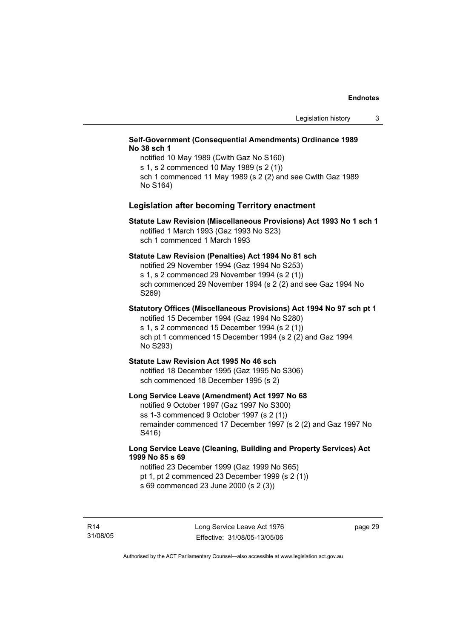#### **Self-Government (Consequential Amendments) Ordinance 1989 No 38 sch 1**

notified 10 May 1989 (Cwlth Gaz No S160) s 1, s 2 commenced 10 May 1989 (s 2 (1)) sch 1 commenced 11 May 1989 (s 2 (2) and see Cwlth Gaz 1989 No S164)

#### **Legislation after becoming Territory enactment**

#### **Statute Law Revision (Miscellaneous Provisions) Act 1993 No 1 sch 1**  notified 1 March 1993 (Gaz 1993 No S23) sch 1 commenced 1 March 1993

#### **Statute Law Revision (Penalties) Act 1994 No 81 sch**

notified 29 November 1994 (Gaz 1994 No S253) s 1, s 2 commenced 29 November 1994 (s 2 (1)) sch commenced 29 November 1994 (s 2 (2) and see Gaz 1994 No S269)

### **Statutory Offices (Miscellaneous Provisions) Act 1994 No 97 sch pt 1**

notified 15 December 1994 (Gaz 1994 No S280) s 1, s 2 commenced 15 December 1994 (s 2 (1)) sch pt 1 commenced 15 December 1994 (s 2 (2) and Gaz 1994 No S293)

#### **Statute Law Revision Act 1995 No 46 sch**

notified 18 December 1995 (Gaz 1995 No S306) sch commenced 18 December 1995 (s 2)

#### **Long Service Leave (Amendment) Act 1997 No 68**

notified 9 October 1997 (Gaz 1997 No S300) ss 1-3 commenced 9 October 1997 (s 2 (1)) remainder commenced 17 December 1997 (s 2 (2) and Gaz 1997 No S416)

#### **Long Service Leave (Cleaning, Building and Property Services) Act 1999 No 85 s 69**

notified 23 December 1999 (Gaz 1999 No S65) pt 1, pt 2 commenced 23 December 1999 (s 2 (1)) s 69 commenced 23 June 2000 (s 2 (3))

R14 31/08/05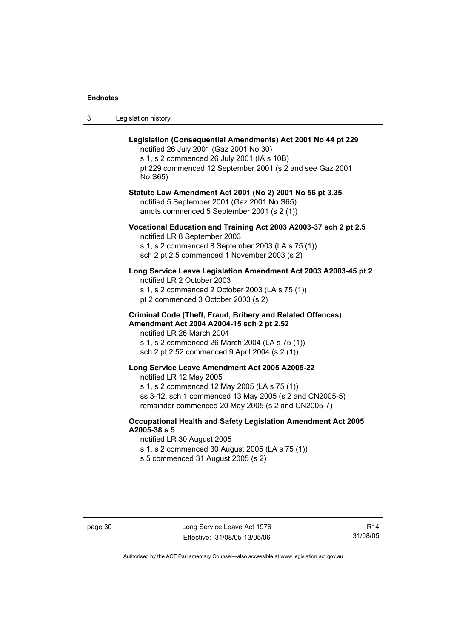| 3 | Legislation history |
|---|---------------------|
|---|---------------------|

| Legislation (Consequential Amendments) Act 2001 No 44 pt 229<br>notified 26 July 2001 (Gaz 2001 No 30)<br>s 1, s 2 commenced 26 July 2001 (IA s 10B)<br>pt 229 commenced 12 September 2001 (s 2 and see Gaz 2001<br>No S65)                     |
|-------------------------------------------------------------------------------------------------------------------------------------------------------------------------------------------------------------------------------------------------|
| Statute Law Amendment Act 2001 (No 2) 2001 No 56 pt 3.35<br>notified 5 September 2001 (Gaz 2001 No S65)<br>amdts commenced 5 September 2001 (s 2 (1))                                                                                           |
| Vocational Education and Training Act 2003 A2003-37 sch 2 pt 2.5<br>notified LR 8 September 2003<br>s 1, s 2 commenced 8 September 2003 (LA s 75 (1))<br>sch 2 pt 2.5 commenced 1 November 2003 (s 2)                                           |
| Long Service Leave Legislation Amendment Act 2003 A2003-45 pt 2<br>notified LR 2 October 2003<br>s 1, s 2 commenced 2 October 2003 (LA s 75 (1))<br>pt 2 commenced 3 October 2003 (s 2)                                                         |
| <b>Criminal Code (Theft, Fraud, Bribery and Related Offences)</b><br>Amendment Act 2004 A2004-15 sch 2 pt 2.52<br>notified LR 26 March 2004<br>s 1, s 2 commenced 26 March 2004 (LA s 75 (1))<br>sch 2 pt 2.52 commenced 9 April 2004 (s 2 (1)) |
| Long Service Leave Amendment Act 2005 A2005-22<br>notified LR 12 May 2005<br>s 1, s 2 commenced 12 May 2005 (LA s 75 (1))<br>ss 3-12, sch 1 commenced 13 May 2005 (s 2 and CN2005-5)<br>remainder commenced 20 May 2005 (s 2 and CN2005-7)      |
| Occupational Health and Safety Legislation Amendment Act 2005<br>A2005-38 s 5<br>notified LR 30 August 2005<br>s 1, s 2 commenced 30 August 2005 (LA s 75 (1))                                                                                  |

s 5 commenced 31 August 2005 (s 2)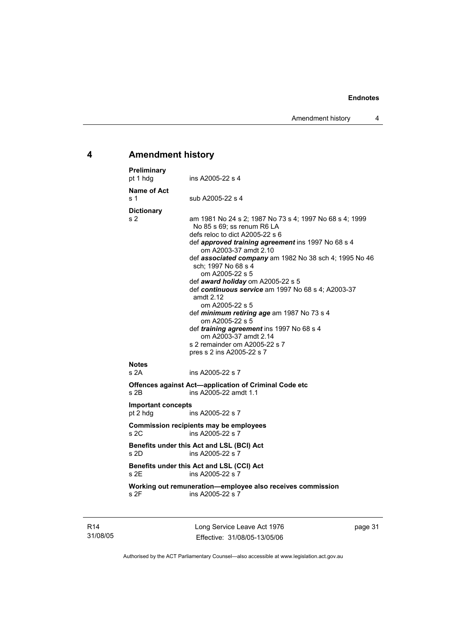Amendment history 4

### **4 Amendment history**

| Preliminary<br>pt 1 hdg               | ins A2005-22 s 4                                                                                                                                                                                                                                                                                                                                                                                                                                                                                                                                                                                                                            |
|---------------------------------------|---------------------------------------------------------------------------------------------------------------------------------------------------------------------------------------------------------------------------------------------------------------------------------------------------------------------------------------------------------------------------------------------------------------------------------------------------------------------------------------------------------------------------------------------------------------------------------------------------------------------------------------------|
| <b>Name of Act</b><br>s 1             | sub A2005-22 s 4                                                                                                                                                                                                                                                                                                                                                                                                                                                                                                                                                                                                                            |
| <b>Dictionary</b><br>s 2              | am 1981 No 24 s 2; 1987 No 73 s 4; 1997 No 68 s 4; 1999<br>No 85 s 69; ss renum R6 LA<br>defs reloc to dict A2005-22 s 6<br>def approved training agreement ins 1997 No 68 s 4<br>om A2003-37 amdt 2.10<br>def associated company am 1982 No 38 sch 4; 1995 No 46<br>sch; 1997 No 68 s 4<br>om A2005-22 s 5<br>def award holiday om A2005-22 s 5<br>def continuous service am 1997 No 68 s 4; A2003-37<br>amdt 2.12<br>om A2005-22 s 5<br>def minimum retiring age am 1987 No 73 s 4<br>om A2005-22 s 5<br>def training agreement ins 1997 No 68 s 4<br>om A2003-37 amdt 2.14<br>s 2 remainder om A2005-22 s 7<br>pres s 2 ins A2005-22 s 7 |
| <b>Notes</b><br>s <sub>2A</sub>       | ins A2005-22 s 7                                                                                                                                                                                                                                                                                                                                                                                                                                                                                                                                                                                                                            |
| s 2B                                  | <b>Offences against Act-application of Criminal Code etc</b><br>ins A2005-22 amdt 1.1                                                                                                                                                                                                                                                                                                                                                                                                                                                                                                                                                       |
| <b>Important concepts</b><br>pt 2 hdg | ins A2005-22 s 7                                                                                                                                                                                                                                                                                                                                                                                                                                                                                                                                                                                                                            |
| s 2C                                  | <b>Commission recipients may be employees</b><br>ins A2005-22 s 7                                                                                                                                                                                                                                                                                                                                                                                                                                                                                                                                                                           |
| s 2D                                  | Benefits under this Act and LSL (BCI) Act<br>ins A2005-22 s 7                                                                                                                                                                                                                                                                                                                                                                                                                                                                                                                                                                               |
| s 2E                                  | Benefits under this Act and LSL (CCI) Act<br>ins A2005-22 s 7                                                                                                                                                                                                                                                                                                                                                                                                                                                                                                                                                                               |
| s 2F                                  | Working out remuneration-employee also receives commission<br>ins A2005-22 s 7                                                                                                                                                                                                                                                                                                                                                                                                                                                                                                                                                              |
|                                       |                                                                                                                                                                                                                                                                                                                                                                                                                                                                                                                                                                                                                                             |

R14 31/08/05 Long Service Leave Act 1976 Effective: 31/08/05-13/05/06

page 31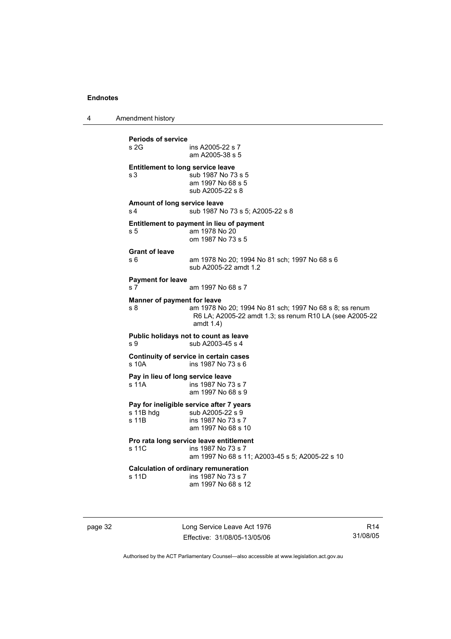4 Amendment history

**Periods of service**  ins A2005-22 s 7 am A2005-38 s 5 **Entitlement to long service leave**  s 3  $\overline{\smash{\big)}\smash{\big)}\smash{\big)}\smash{\big)}\smash{\big)}\smash{\big)}\smash{\big)}\smash{\big)}\smash{\big)}\smash{\big)}\smash{\big)}\smash{\big)}\smash{\big)}\smash{\big)}\smash{\big)}\smash{\big)}\smash{\big)}\smash{\big)}\smash{\big)}\smash{\big)}\smash{\big)}\smash{\big)}\smash{\big)}\smash{\big)}\smash{\big)}\smash{\big)}\smash{\big)}\smash{\big)}\smash{\big)}\smash{\big)}\smash{\big)}\smash{\big)}\smash{\big)}\smash{\big)}\smash{\big)}\smash{\$  am 1997 No 68 s 5 sub A2005-22 s 8 **Amount of long service leave**  s 4 sub 1987 No 73 s 5; A2005-22 s 8 **Entitlement to payment in lieu of payment**  s 5 am 1978 No 20 om 1987 No 73 s 5 **Grant of leave**  s 6 am 1978 No 20; 1994 No 81 sch; 1997 No 68 s 6 sub A2005-22 amdt 1.2 **Payment for leave**  s 7 am 1997 No 68 s 7 **Manner of payment for leave**  s 8 am 1978 No 20; 1994 No 81 sch; 1997 No 68 s 8; ss renum R6 LA; A2005-22 amdt 1.3; ss renum R10 LA (see A2005-22 amdt 1.4) **Public holidays not to count as leave**  s 9 sub A2003-45 s 4 **Continuity of service in certain cases**  s 10A ins 1987 No 73 s 6 **Pay in lieu of long service leave**  s 11A ins 1987 No 73 s 7 am 1997 No 68 s 9 **Pay for ineligible service after 7 years**  s 11B hdg sub A2005-22 s 9<br>s 11B ins 1987 No 73 s 7 ins 1987 No 73 s 7 am 1997 No 68 s 10 **Pro rata long service leave entitlement**  s 11C ins 1987 No 73 s 7 am 1997 No 68 s 11; A2003-45 s 5; A2005-22 s 10 **Calculation of ordinary remuneration**  s 11D ins 1987 No 73 s 7 am 1997 No 68 s 12

page 32 Long Service Leave Act 1976 Effective: 31/08/05-13/05/06

R14 31/08/05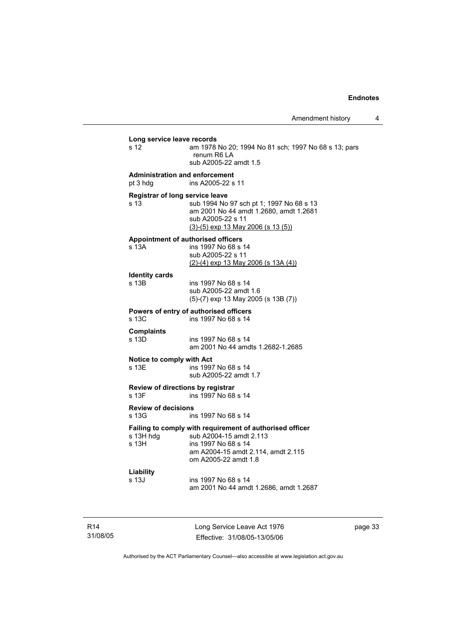| s 12                                                      | Long service leave records<br>am 1978 No 20; 1994 No 81 sch; 1997 No 68 s 13; pars<br>renum R6 LA                                                                                     |
|-----------------------------------------------------------|---------------------------------------------------------------------------------------------------------------------------------------------------------------------------------------|
|                                                           | sub A2005-22 amdt 1.5                                                                                                                                                                 |
| pt 3 hdg                                                  | <b>Administration and enforcement</b><br>ins A2005-22 s 11                                                                                                                            |
| s <sub>13</sub>                                           | Registrar of long service leave<br>sub 1994 No 97 sch pt 1; 1997 No 68 s 13<br>am 2001 No 44 amdt 1.2680, amdt 1.2681<br>sub A2005-22 s 11<br>$(3)-(5)$ exp 13 May 2006 (s 13 $(5)$ ) |
| s 13A                                                     | <b>Appointment of authorised officers</b><br>ins 1997 No 68 s 14<br>sub A2005-22 s 11<br>$(2)-(4)$ exp 13 May 2006 (s 13A (4))                                                        |
| <b>Identity cards</b><br>s 13 <sub>B</sub>                | ins 1997 No 68 s 14<br>sub A2005-22 amdt 1.6<br>(5)-(7) exp 13 May 2005 (s 13B (7))                                                                                                   |
| s 13C                                                     | Powers of entry of authorised officers<br>ins 1997 No 68 s 14                                                                                                                         |
| <b>Complaints</b><br>s 13D                                | ins 1997 No 68 s 14<br>am 2001 No 44 amdts 1.2682-1.2685                                                                                                                              |
| Notice to comply with Act<br>s 13E                        | ins 1997 No 68 s 14<br>sub A2005-22 amdt 1.7                                                                                                                                          |
|                                                           |                                                                                                                                                                                       |
|                                                           | Review of directions by registrar<br>ins 1997 No 68 s 14                                                                                                                              |
| s 13G                                                     | ins 1997 No 68 s 14                                                                                                                                                                   |
| s 13F<br><b>Review of decisions</b><br>s 13H hda<br>s 13H | Failing to comply with requirement of authorised officer<br>sub A2004-15 amdt 2.113<br>ins 1997 No 68 s 14<br>am A2004-15 amdt 2.114, amdt 2.115<br>om A2005-22 amdt 1.8              |

R14 31/08/05 Long Service Leave Act 1976 Effective: 31/08/05-13/05/06 page 33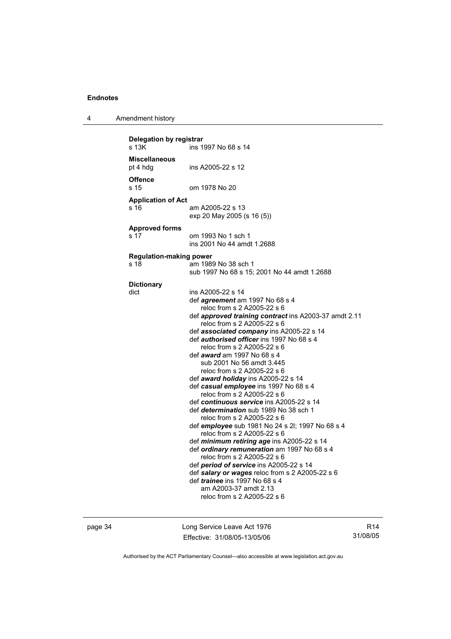4 Amendment history

| Delegation by registrar<br>s 13K<br>ins 1997 No 68 s 14 |                                                              |  |  |
|---------------------------------------------------------|--------------------------------------------------------------|--|--|
| Miscellaneous<br>pt 4 hdg                               | ins A2005-22 s 12                                            |  |  |
| <b>Offence</b><br>s 15                                  | om 1978 No 20                                                |  |  |
|                                                         |                                                              |  |  |
| <b>Application of Act</b>                               |                                                              |  |  |
| s 16                                                    | am A2005-22 s 13                                             |  |  |
|                                                         | exp 20 May 2005 (s 16 (5))                                   |  |  |
| <b>Approved forms</b>                                   |                                                              |  |  |
| s 17                                                    | om 1993 No 1 sch 1                                           |  |  |
|                                                         | ins 2001 No 44 amdt 1.2688                                   |  |  |
|                                                         |                                                              |  |  |
| <b>Regulation-making power</b>                          |                                                              |  |  |
| s 18                                                    | am 1989 No 38 sch 1                                          |  |  |
|                                                         | sub 1997 No 68 s 15; 2001 No 44 amdt 1.2688                  |  |  |
|                                                         |                                                              |  |  |
| <b>Dictionary</b>                                       |                                                              |  |  |
| dict                                                    | ins A2005-22 s 14                                            |  |  |
|                                                         | def <i>agreement</i> am 1997 No 68 s 4                       |  |  |
|                                                         | reloc from s 2 A2005-22 s 6                                  |  |  |
|                                                         | def <b>approved training contract</b> ins A2003-37 amdt 2.11 |  |  |
|                                                         | reloc from s 2 A2005-22 s 6                                  |  |  |
|                                                         | def associated company ins A2005-22 s 14                     |  |  |
|                                                         | def <i>authorised officer</i> ins 1997 No 68 s 4             |  |  |
|                                                         | reloc from s 2 A2005-22 s 6                                  |  |  |
|                                                         | def <i>award</i> am 1997 No 68 s 4                           |  |  |
|                                                         | sub 2001 No 56 amdt 3.445                                    |  |  |
|                                                         | reloc from s 2 A2005-22 s 6                                  |  |  |
|                                                         | def award holiday ins A2005-22 s 14                          |  |  |
|                                                         | def casual employee ins 1997 No 68 s 4                       |  |  |
|                                                         | reloc from s 2 A2005-22 s 6                                  |  |  |
|                                                         | def continuous service ins A2005-22 s 14                     |  |  |
|                                                         | def <i>determination</i> sub 1989 No 38 sch 1                |  |  |
|                                                         | reloc from s 2 A2005-22 s 6                                  |  |  |
|                                                         | def employee sub 1981 No 24 s 2l; 1997 No 68 s 4             |  |  |
|                                                         | reloc from s 2 A2005-22 s 6                                  |  |  |
|                                                         | def minimum retiring age ins A2005-22 s 14                   |  |  |
|                                                         | def ordinary remuneration am 1997 No 68 s 4                  |  |  |
|                                                         | reloc from s 2 A2005-22 s 6                                  |  |  |
|                                                         | def period of service ins A2005-22 s 14                      |  |  |
|                                                         | def salary or wages reloc from s 2 A2005-22 s 6              |  |  |
|                                                         | def <i>trainee</i> ins 1997 No 68 s 4                        |  |  |
|                                                         | am A2003-37 amdt 2.13<br>reloc from s 2 A2005-22 s 6         |  |  |
|                                                         |                                                              |  |  |
|                                                         |                                                              |  |  |

page 34 Long Service Leave Act 1976 Effective: 31/08/05-13/05/06

R14 31/08/05